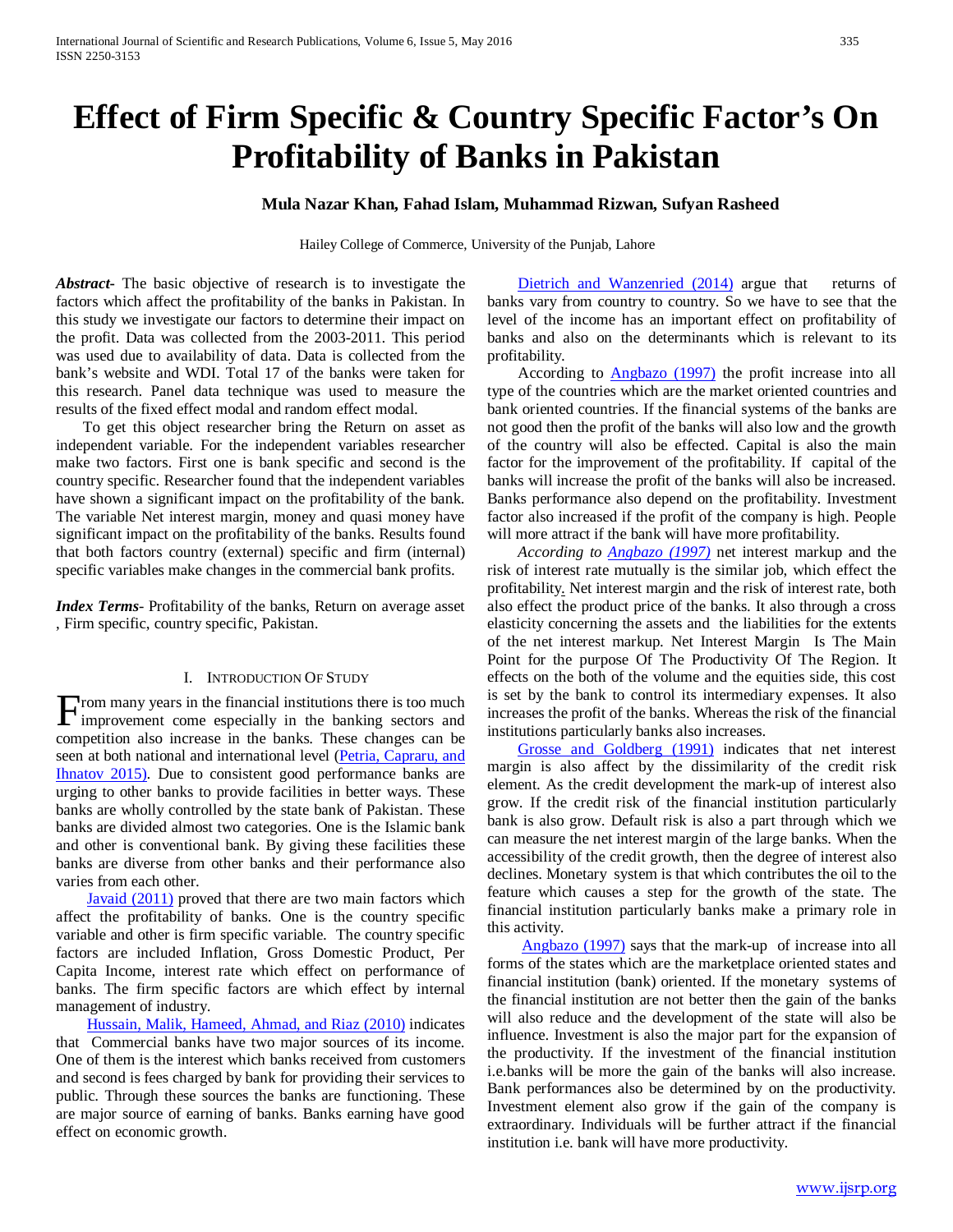# **Effect of Firm Specific & Country Specific Factor's On Profitability of Banks in Pakistan**

## **Mula Nazar Khan, Fahad Islam, Muhammad Rizwan, Sufyan Rasheed**

Hailey College of Commerce, University of the Punjab, Lahore

*Abstract***-** The basic objective of research is to investigate the factors which affect the profitability of the banks in Pakistan. In this study we investigate our factors to determine their impact on the profit. Data was collected from the 2003-2011. This period was used due to availability of data. Data is collected from the bank's website and WDI. Total 17 of the banks were taken for this research. Panel data technique was used to measure the results of the fixed effect modal and random effect modal.

 To get this object researcher bring the Return on asset as independent variable. For the independent variables researcher make two factors. First one is bank specific and second is the country specific. Researcher found that the independent variables have shown a significant impact on the profitability of the bank. The variable Net interest margin, money and quasi money have significant impact on the profitability of the banks. Results found that both factors country (external) specific and firm (internal) specific variables make changes in the commercial bank profits.

*Index Terms*- Profitability of the banks, Return on average asset , Firm specific, country specific, Pakistan.

#### I. INTRODUCTION OF STUDY

rom many years in the financial institutions there is too much From many years in the financial institutions there is too much improvement come especially in the banking sectors and competition also increase in the banks. These changes can be seen at both national and international level (Petria, Capraru, and Ihnatov 2015). Due to consistent good performance banks are urging to other banks to provide facilities in better ways. These banks are wholly controlled by the state bank of Pakistan. These banks are divided almost two categories. One is the Islamic bank and other is conventional bank. By giving these facilities these banks are diverse from other banks and their performance also varies from each other.

 Javaid (2011) proved that there are two main factors which affect the profitability of banks. One is the country specific variable and other is firm specific variable. The country specific factors are included Inflation, Gross Domestic Product, Per Capita Income, interest rate which effect on performance of banks. The firm specific factors are which effect by internal management of industry.

 Hussain, Malik, Hameed, Ahmad, and Riaz (2010) indicates that Commercial banks have two major sources of its income. One of them is the interest which banks received from customers and second is fees charged by bank for providing their services to public. Through these sources the banks are functioning. These are major source of earning of banks. Banks earning have good effect on economic growth.

 Dietrich and Wanzenried (2014) argue that returns of banks vary from country to country. So we have to see that the level of the income has an important effect on profitability of banks and also on the determinants which is relevant to its profitability.

 According to Angbazo (1997) the profit increase into all type of the countries which are the market oriented countries and bank oriented countries. If the financial systems of the banks are not good then the profit of the banks will also low and the growth of the country will also be effected. Capital is also the main factor for the improvement of the profitability. If capital of the banks will increase the profit of the banks will also be increased. Banks performance also depend on the profitability. Investment factor also increased if the profit of the company is high. People will more attract if the bank will have more profitability.

 *According to Angbazo (1997)* net interest markup and the risk of interest rate mutually is the similar job, which effect the profitability. Net interest margin and the risk of interest rate, both also effect the product price of the banks. It also through a cross elasticity concerning the assets and the liabilities for the extents of the net interest markup. Net Interest Margin Is The Main Point for the purpose Of The Productivity Of The Region. It effects on the both of the volume and the equities side, this cost is set by the bank to control its intermediary expenses. It also increases the profit of the banks. Whereas the risk of the financial institutions particularly banks also increases.

 Grosse and Goldberg (1991) indicates that net interest margin is also affect by the dissimilarity of the credit risk element. As the credit development the mark-up of interest also grow. If the credit risk of the financial institution particularly bank is also grow. Default risk is also a part through which we can measure the net interest margin of the large banks. When the accessibility of the credit growth, then the degree of interest also declines. Monetary system is that which contributes the oil to the feature which causes a step for the growth of the state. The financial institution particularly banks make a primary role in this activity.

 Angbazo (1997) says that the mark-up of increase into all forms of the states which are the marketplace oriented states and financial institution (bank) oriented. If the monetary systems of the financial institution are not better then the gain of the banks will also reduce and the development of the state will also be influence. Investment is also the major part for the expansion of the productivity. If the investment of the financial institution i.e.banks will be more the gain of the banks will also increase. Bank performances also be determined by on the productivity. Investment element also grow if the gain of the company is extraordinary. Individuals will be further attract if the financial institution i.e. bank will have more productivity.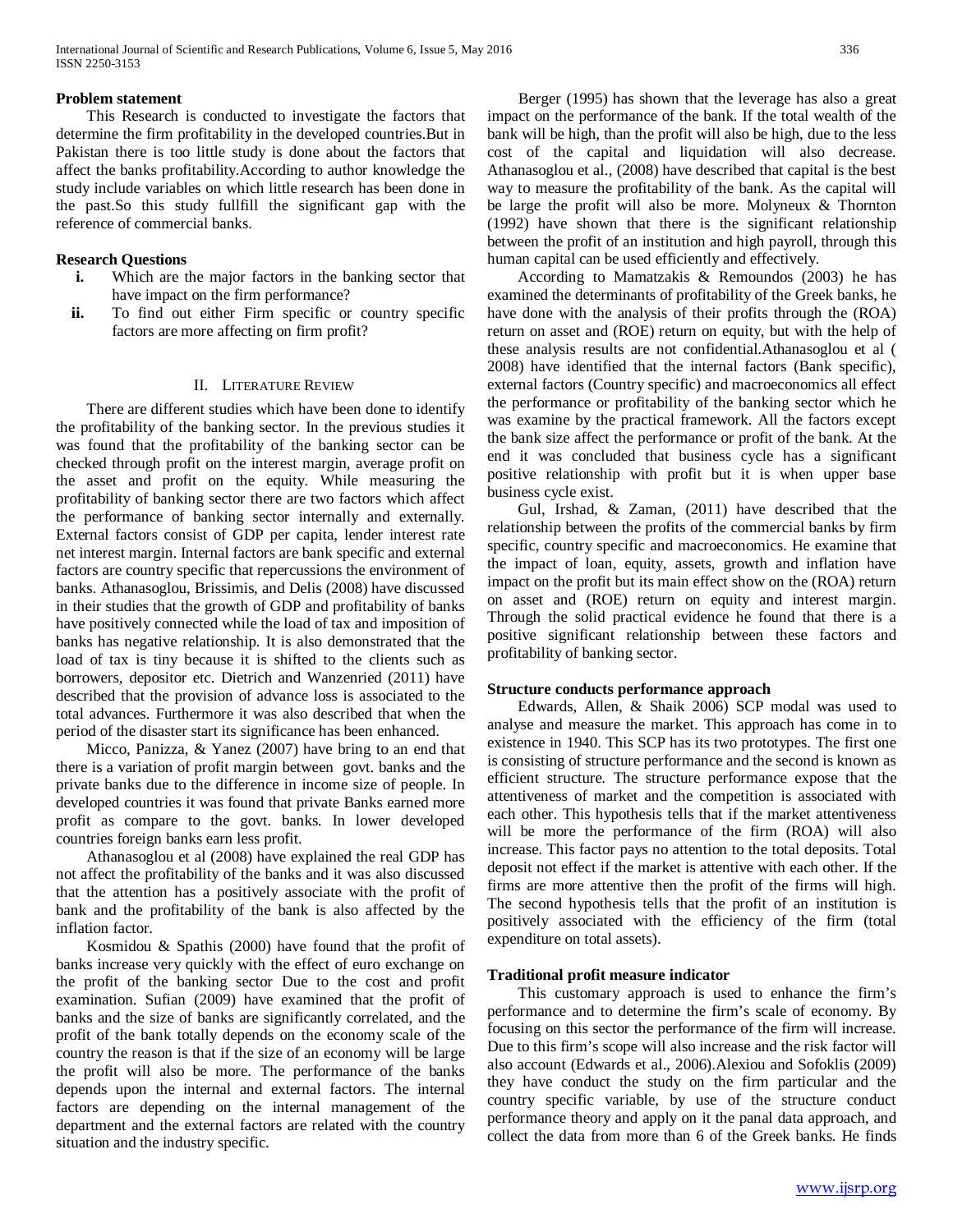## **Problem statement**

 This Research is conducted to investigate the factors that determine the firm profitability in the developed countries.But in Pakistan there is too little study is done about the factors that affect the banks profitability.According to author knowledge the study include variables on which little research has been done in the past.So this study fullfill the significant gap with the reference of commercial banks.

## **Research Questions**

- **i.** Which are the major factors in the banking sector that have impact on the firm performance?
- **ii.** To find out either Firm specific or country specific factors are more affecting on firm profit?

#### II. LITERATURE REVIEW

 There are different studies which have been done to identify the profitability of the banking sector. In the previous studies it was found that the profitability of the banking sector can be checked through profit on the interest margin, average profit on the asset and profit on the equity. While measuring the profitability of banking sector there are two factors which affect the performance of banking sector internally and externally. External factors consist of GDP per capita, lender interest rate net interest margin. Internal factors are bank specific and external factors are country specific that repercussions the environment of banks. Athanasoglou, Brissimis, and Delis (2008) have discussed in their studies that the growth of GDP and profitability of banks have positively connected while the load of tax and imposition of banks has negative relationship. It is also demonstrated that the load of tax is tiny because it is shifted to the clients such as borrowers, depositor etc. Dietrich and Wanzenried (2011) have described that the provision of advance loss is associated to the total advances. Furthermore it was also described that when the period of the disaster start its significance has been enhanced.

 Micco, Panizza, & Yanez (2007) have bring to an end that there is a variation of profit margin between govt. banks and the private banks due to the difference in income size of people. In developed countries it was found that private Banks earned more profit as compare to the govt. banks. In lower developed countries foreign banks earn less profit.

 Athanasoglou et al (2008) have explained the real GDP has not affect the profitability of the banks and it was also discussed that the attention has a positively associate with the profit of bank and the profitability of the bank is also affected by the inflation factor.

 Kosmidou & Spathis (2000) have found that the profit of banks increase very quickly with the effect of euro exchange on the profit of the banking sector Due to the cost and profit examination. Sufian (2009) have examined that the profit of banks and the size of banks are significantly correlated, and the profit of the bank totally depends on the economy scale of the country the reason is that if the size of an economy will be large the profit will also be more. The performance of the banks depends upon the internal and external factors. The internal factors are depending on the internal management of the department and the external factors are related with the country situation and the industry specific.

 Berger (1995) has shown that the leverage has also a great impact on the performance of the bank. If the total wealth of the bank will be high, than the profit will also be high, due to the less cost of the capital and liquidation will also decrease. Athanasoglou et al., (2008) have described that capital is the best way to measure the profitability of the bank. As the capital will be large the profit will also be more. Molyneux & Thornton (1992) have shown that there is the significant relationship between the profit of an institution and high payroll, through this human capital can be used efficiently and effectively.

 According to Mamatzakis & Remoundos (2003) he has examined the determinants of profitability of the Greek banks, he have done with the analysis of their profits through the (ROA) return on asset and (ROE) return on equity, but with the help of these analysis results are not confidential.Athanasoglou et al ( 2008) have identified that the internal factors (Bank specific), external factors (Country specific) and macroeconomics all effect the performance or profitability of the banking sector which he was examine by the practical framework. All the factors except the bank size affect the performance or profit of the bank. At the end it was concluded that business cycle has a significant positive relationship with profit but it is when upper base business cycle exist.

 Gul, Irshad, & Zaman, (2011) have described that the relationship between the profits of the commercial banks by firm specific, country specific and macroeconomics. He examine that the impact of loan, equity, assets, growth and inflation have impact on the profit but its main effect show on the (ROA) return on asset and (ROE) return on equity and interest margin. Through the solid practical evidence he found that there is a positive significant relationship between these factors and profitability of banking sector.

#### **Structure conducts performance approach**

 Edwards, Allen, & Shaik 2006) SCP modal was used to analyse and measure the market. This approach has come in to existence in 1940. This SCP has its two prototypes. The first one is consisting of structure performance and the second is known as efficient structure. The structure performance expose that the attentiveness of market and the competition is associated with each other. This hypothesis tells that if the market attentiveness will be more the performance of the firm (ROA) will also increase. This factor pays no attention to the total deposits. Total deposit not effect if the market is attentive with each other. If the firms are more attentive then the profit of the firms will high. The second hypothesis tells that the profit of an institution is positively associated with the efficiency of the firm (total expenditure on total assets).

## **Traditional profit measure indicator**

 This customary approach is used to enhance the firm's performance and to determine the firm's scale of economy. By focusing on this sector the performance of the firm will increase. Due to this firm's scope will also increase and the risk factor will also account (Edwards et al., 2006).Alexiou and Sofoklis (2009) they have conduct the study on the firm particular and the country specific variable, by use of the structure conduct performance theory and apply on it the panal data approach, and collect the data from more than 6 of the Greek banks. He finds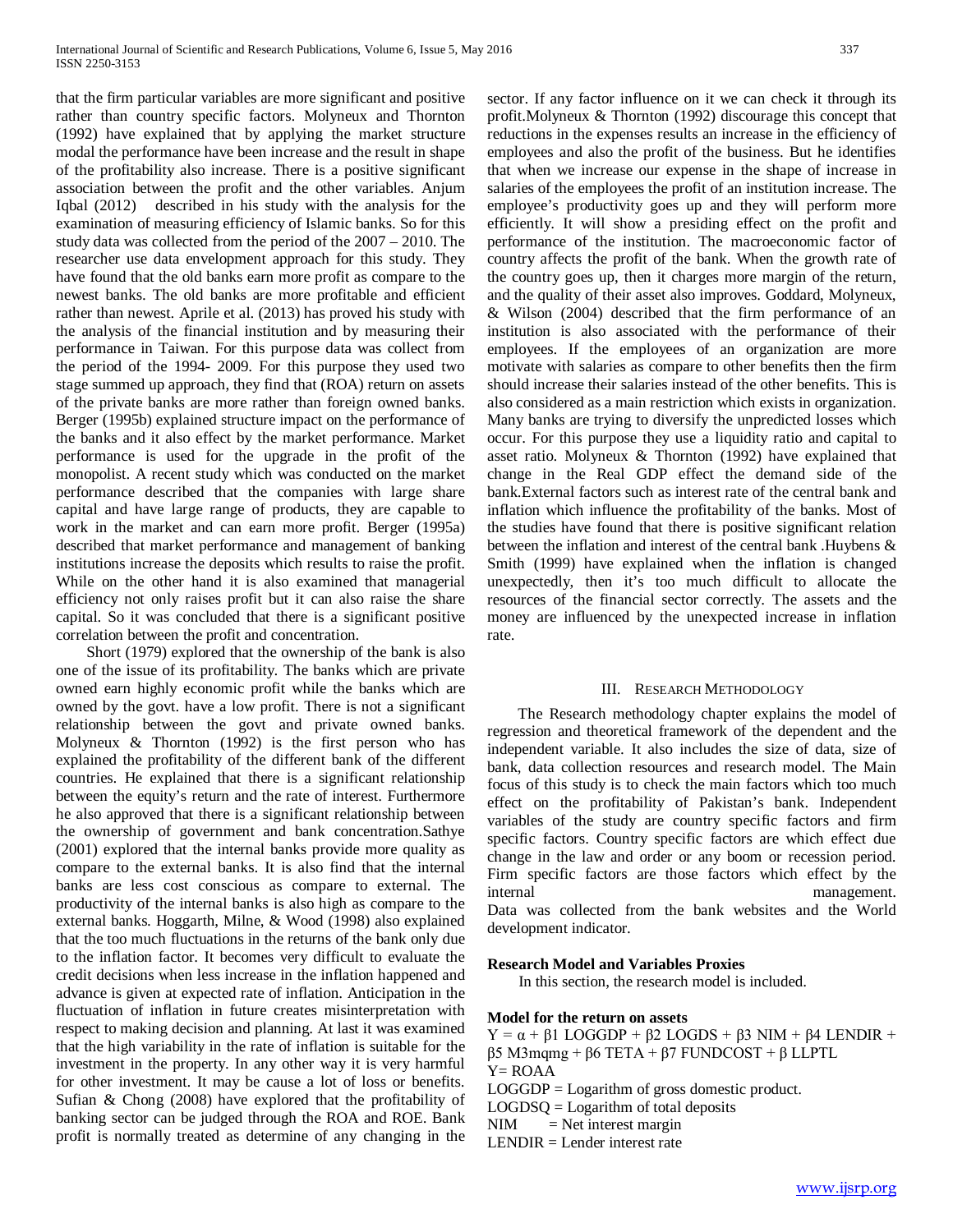that the firm particular variables are more significant and positive rather than country specific factors. Molyneux and Thornton (1992) have explained that by applying the market structure modal the performance have been increase and the result in shape of the profitability also increase. There is a positive significant association between the profit and the other variables. Anjum Iqbal (2012) described in his study with the analysis for the examination of measuring efficiency of Islamic banks. So for this study data was collected from the period of the 2007 – 2010. The researcher use data envelopment approach for this study. They have found that the old banks earn more profit as compare to the newest banks. The old banks are more profitable and efficient rather than newest. Aprile et al. (2013) has proved his study with the analysis of the financial institution and by measuring their performance in Taiwan. For this purpose data was collect from the period of the 1994- 2009. For this purpose they used two stage summed up approach, they find that (ROA) return on assets of the private banks are more rather than foreign owned banks. Berger (1995b) explained structure impact on the performance of the banks and it also effect by the market performance. Market performance is used for the upgrade in the profit of the monopolist. A recent study which was conducted on the market performance described that the companies with large share capital and have large range of products, they are capable to work in the market and can earn more profit. Berger (1995a) described that market performance and management of banking institutions increase the deposits which results to raise the profit. While on the other hand it is also examined that managerial efficiency not only raises profit but it can also raise the share capital. So it was concluded that there is a significant positive correlation between the profit and concentration.

 Short (1979) explored that the ownership of the bank is also one of the issue of its profitability. The banks which are private owned earn highly economic profit while the banks which are owned by the govt. have a low profit. There is not a significant relationship between the govt and private owned banks. Molyneux & Thornton (1992) is the first person who has explained the profitability of the different bank of the different countries. He explained that there is a significant relationship between the equity's return and the rate of interest. Furthermore he also approved that there is a significant relationship between the ownership of government and bank concentration.Sathye (2001) explored that the internal banks provide more quality as compare to the external banks. It is also find that the internal banks are less cost conscious as compare to external. The productivity of the internal banks is also high as compare to the external banks. Hoggarth, Milne, & Wood (1998) also explained that the too much fluctuations in the returns of the bank only due to the inflation factor. It becomes very difficult to evaluate the credit decisions when less increase in the inflation happened and advance is given at expected rate of inflation. Anticipation in the fluctuation of inflation in future creates misinterpretation with respect to making decision and planning. At last it was examined that the high variability in the rate of inflation is suitable for the investment in the property. In any other way it is very harmful for other investment. It may be cause a lot of loss or benefits. Sufian & Chong (2008) have explored that the profitability of banking sector can be judged through the ROA and ROE. Bank profit is normally treated as determine of any changing in the sector. If any factor influence on it we can check it through its profit.Molyneux & Thornton (1992) discourage this concept that reductions in the expenses results an increase in the efficiency of employees and also the profit of the business. But he identifies that when we increase our expense in the shape of increase in salaries of the employees the profit of an institution increase. The employee's productivity goes up and they will perform more efficiently. It will show a presiding effect on the profit and performance of the institution. The macroeconomic factor of country affects the profit of the bank. When the growth rate of the country goes up, then it charges more margin of the return, and the quality of their asset also improves. Goddard, Molyneux, & Wilson (2004) described that the firm performance of an institution is also associated with the performance of their employees. If the employees of an organization are more motivate with salaries as compare to other benefits then the firm should increase their salaries instead of the other benefits. This is also considered as a main restriction which exists in organization. Many banks are trying to diversify the unpredicted losses which occur. For this purpose they use a liquidity ratio and capital to asset ratio. Molyneux & Thornton (1992) have explained that change in the Real GDP effect the demand side of the bank.External factors such as interest rate of the central bank and inflation which influence the profitability of the banks. Most of the studies have found that there is positive significant relation between the inflation and interest of the central bank .Huybens & Smith (1999) have explained when the inflation is changed unexpectedly, then it's too much difficult to allocate the resources of the financial sector correctly. The assets and the money are influenced by the unexpected increase in inflation rate.

#### III. RESEARCH METHODOLOGY

 The Research methodology chapter explains the model of regression and theoretical framework of the dependent and the independent variable. It also includes the size of data, size of bank, data collection resources and research model. The Main focus of this study is to check the main factors which too much effect on the profitability of Pakistan's bank. Independent variables of the study are country specific factors and firm specific factors. Country specific factors are which effect due change in the law and order or any boom or recession period. Firm specific factors are those factors which effect by the internal management.

Data was collected from the bank websites and the World development indicator.

#### **Research Model and Variables Proxies**

In this section, the research model is included.

#### **Model for the return on assets**

Y = α + β1 LOGGDP + β2 LOGDS + β3 NIM + β4 LENDIR + β5 M3mqmg + β6 TETA + β7 FUNDCOST + β LLPTL

Y= ROAA

LOGGDP = Logarithm of gross domestic product.

 $LOGDSQ = Logarithm of total deposits$ 

 $NIM$  = Net interest margin

LENDIR = Lender interest rate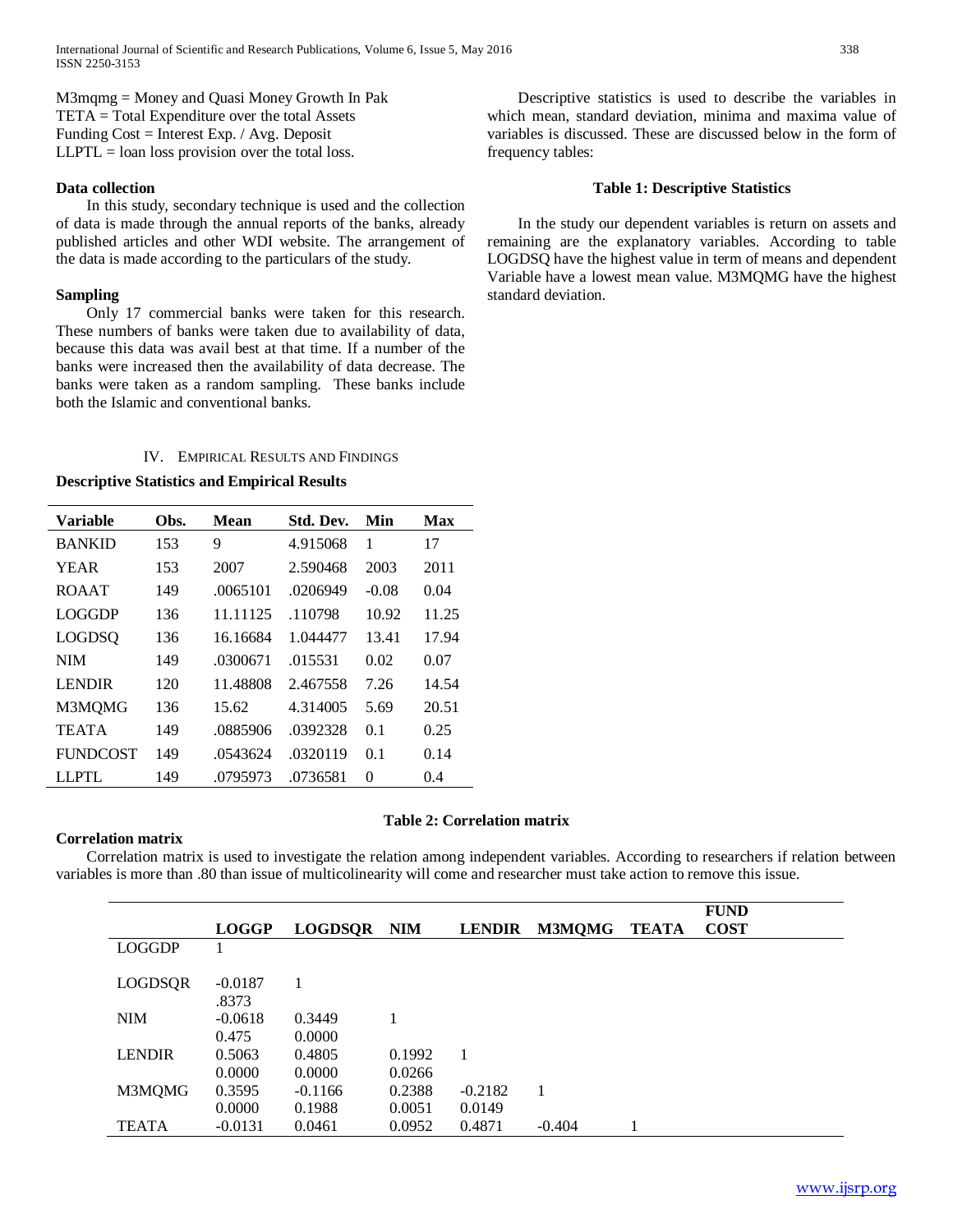M3mqmg = Money and Quasi Money Growth In Pak TETA = Total Expenditure over the total Assets Funding Cost = Interest Exp. / Avg. Deposit  $LLPTL = loan loss$  provision over the total loss.

## **Data collection**

 In this study, secondary technique is used and the collection of data is made through the annual reports of the banks, already published articles and other WDI website. The arrangement of the data is made according to the particulars of the study.

## **Sampling**

 Only 17 commercial banks were taken for this research. These numbers of banks were taken due to availability of data, because this data was avail best at that time. If a number of the banks were increased then the availability of data decrease. The banks were taken as a random sampling. These banks include both the Islamic and conventional banks.

# IV. EMPIRICAL RESULTS AND FINDINGS

## **Descriptive Statistics and Empirical Results**

| Variable        | Obs. | Mean     | Std. Dev. | Min      | Max   |
|-----------------|------|----------|-----------|----------|-------|
| <b>BANKID</b>   | 153  | 9        | 4.915068  | 1        | 17    |
| <b>YEAR</b>     | 153  | 2007     | 2.590468  | 2003     | 2011  |
| <b>ROAAT</b>    | 149  | .0065101 | .0206949  | $-0.08$  | 0.04  |
| LOGGDP          | 136  | 11.11125 | .110798   | 10.92    | 11.25 |
| <b>LOGDSO</b>   | 136  | 16.16684 | 1.044477  | 13.41    | 17.94 |
| <b>NIM</b>      | 149  | .0300671 | .015531   | 0.02     | 0.07  |
| <b>LENDIR</b>   | 120  | 11.48808 | 2.467558  | 7.26     | 14.54 |
| M3MQMG          | 136  | 15.62    | 4.314005  | 5.69     | 20.51 |
| <b>TEATA</b>    | 149  | .0885906 | .0392328  | 0.1      | 0.25  |
| <b>FUNDCOST</b> | 149  | .0543624 | .0320119  | 0.1      | 0.14  |
| LLPTL           | 149  | .0795973 | .0736581  | $\theta$ | (0.4) |

## **Correlation matrix**

#### **Table 2: Correlation matrix**

 Correlation matrix is used to investigate the relation among independent variables. According to researchers if relation between variables is more than .80 than issue of multicolinearity will come and researcher must take action to remove this issue.

|               |                     |                  |                  |                  |               |              | <b>FUND</b> |
|---------------|---------------------|------------------|------------------|------------------|---------------|--------------|-------------|
|               | <b>LOGGP</b>        | <b>LOGDSOR</b>   | <b>NIM</b>       | <b>LENDIR</b>    | <b>M3MQMG</b> | <b>TEATA</b> | <b>COST</b> |
| <b>LOGGDP</b> |                     |                  |                  |                  |               |              |             |
| LOGDSQR       | $-0.0187$<br>.8373  |                  |                  |                  |               |              |             |
| <b>NIM</b>    | $-0.0618$<br>0.475  | 0.3449<br>0.0000 |                  |                  |               |              |             |
| <b>LENDIR</b> | 0.5063<br>0.0000    | 0.4805<br>0.0000 | 0.1992<br>0.0266 |                  |               |              |             |
| M3MQMG        | 0.3595              | $-0.1166$        | 0.2388           | $-0.2182$        | 1             |              |             |
| TEATA         | 0.0000<br>$-0.0131$ | 0.1988<br>0.0461 | 0.0051<br>0.0952 | 0.0149<br>0.4871 | $-0.404$      |              |             |

 Descriptive statistics is used to describe the variables in which mean, standard deviation, minima and maxima value of variables is discussed. These are discussed below in the form of frequency tables:

#### **Table 1: Descriptive Statistics**

 In the study our dependent variables is return on assets and remaining are the explanatory variables. According to table LOGDSQ have the highest value in term of means and dependent Variable have a lowest mean value. M3MQMG have the highest standard deviation.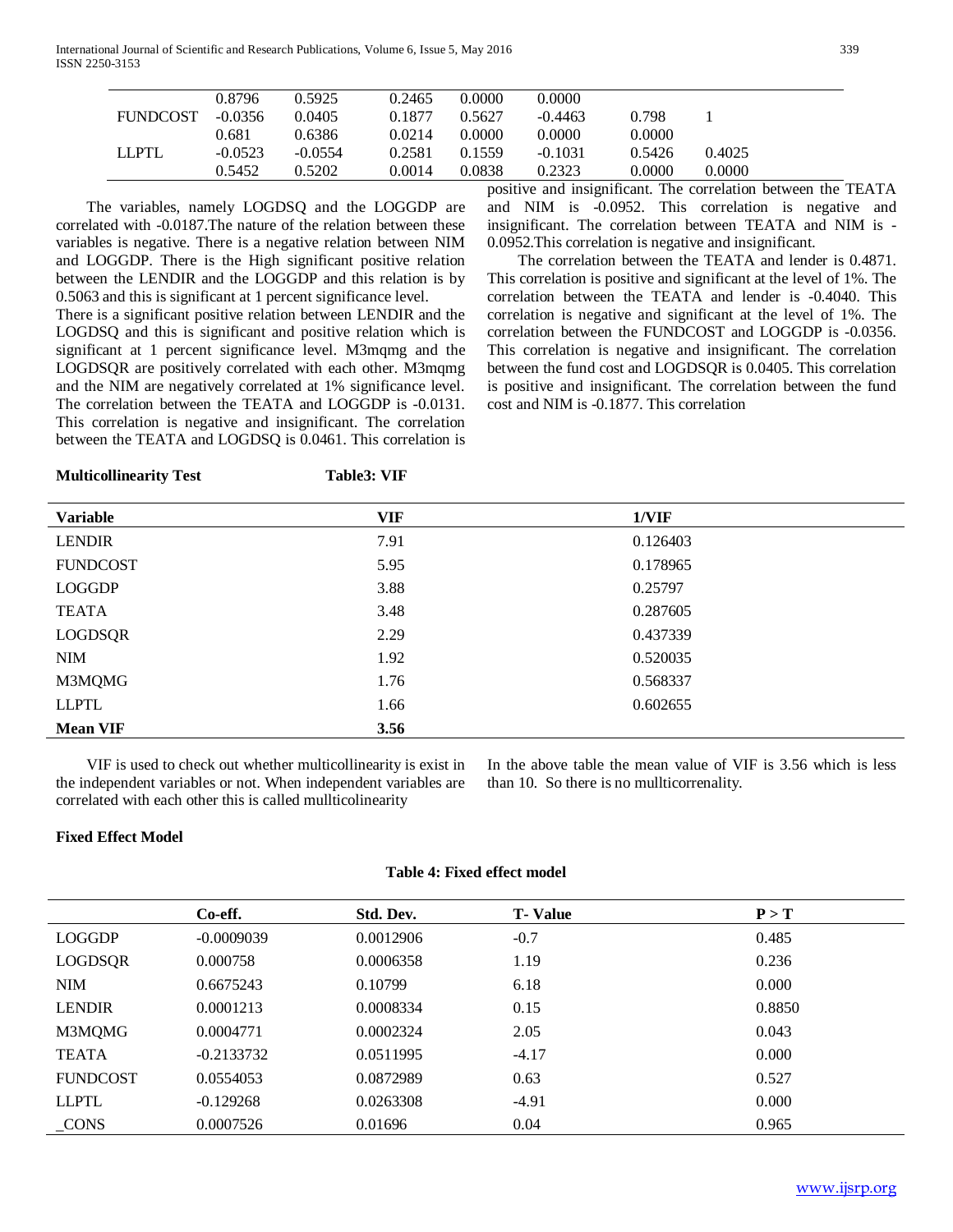International Journal of Scientific and Research Publications, Volume 6, Issue 5, May 2016 339 ISSN 2250-3153

|                 | 0.5452    | 0.5202    | 0.0014 | 0.0838 | 0.2323    | 0.0000 | 0.0000 |
|-----------------|-----------|-----------|--------|--------|-----------|--------|--------|
| LLPTL           | $-0.0523$ | $-0.0554$ | 0.2581 | 0.1559 | $-0.1031$ | 0.5426 | 0.4025 |
|                 | 0.681     | 0.6386    | 0.0214 | 0.0000 | 0.0000    | 0.0000 |        |
| <b>FUNDCOST</b> | -0.0356   | 0.0405    | 0.1877 | 0.5627 | $-0.4463$ | 0.798  |        |
|                 | 0.8796    | 0.5925    | 0.2465 | 0.0000 | 0.0000    |        |        |
|                 |           |           |        |        |           |        |        |

 The variables, namely LOGDSQ and the LOGGDP are correlated with -0.0187.The nature of the relation between these variables is negative. There is a negative relation between NIM and LOGGDP. There is the High significant positive relation between the LENDIR and the LOGGDP and this relation is by 0.5063 and this is significant at 1 percent significance level.

There is a significant positive relation between LENDIR and the LOGDSQ and this is significant and positive relation which is significant at 1 percent significance level. M3mqmg and the LOGDSQR are positively correlated with each other. M3mqmg and the NIM are negatively correlated at 1% significance level. The correlation between the TEATA and LOGGDP is -0.0131. This correlation is negative and insignificant. The correlation between the TEATA and LOGDSQ is 0.0461. This correlation is

**Multicollinearity Test Table3: VIF**

positive and insignificant. The correlation between the TEATA and NIM is -0.0952. This correlation is negative and insignificant. The correlation between TEATA and NIM is - 0.0952.This correlation is negative and insignificant.

 The correlation between the TEATA and lender is 0.4871. This correlation is positive and significant at the level of 1%. The correlation between the TEATA and lender is -0.4040. This correlation is negative and significant at the level of 1%. The correlation between the FUNDCOST and LOGGDP is -0.0356. This correlation is negative and insignificant. The correlation between the fund cost and LOGDSQR is 0.0405. This correlation is positive and insignificant. The correlation between the fund cost and NIM is -0.1877. This correlation

| <b>Variable</b> | <b>VIF</b> | 1/VIF    |  |
|-----------------|------------|----------|--|
| <b>LENDIR</b>   | 7.91       | 0.126403 |  |
| <b>FUNDCOST</b> | 5.95       | 0.178965 |  |
| <b>LOGGDP</b>   | 3.88       | 0.25797  |  |
| <b>TEATA</b>    | 3.48       | 0.287605 |  |
| LOGDSQR         | 2.29       | 0.437339 |  |
| <b>NIM</b>      | 1.92       | 0.520035 |  |
| M3MQMG          | 1.76       | 0.568337 |  |
| <b>LLPTL</b>    | 1.66       | 0.602655 |  |
| <b>Mean VIF</b> | 3.56       |          |  |

 VIF is used to check out whether multicollinearity is exist in the independent variables or not. When independent variables are correlated with each other this is called mullticolinearity

In the above table the mean value of VIF is 3.56 which is less than 10. So there is no mullticorrenality.

#### **Fixed Effect Model**

## **Table 4: Fixed effect model**

|                 | Co-eff.      | Std. Dev. | <b>T</b> - Value | P > T  |
|-----------------|--------------|-----------|------------------|--------|
| <b>LOGGDP</b>   | $-0.0009039$ | 0.0012906 | $-0.7$           | 0.485  |
| <b>LOGDSQR</b>  | 0.000758     | 0.0006358 | 1.19             | 0.236  |
| <b>NIM</b>      | 0.6675243    | 0.10799   | 6.18             | 0.000  |
| <b>LENDIR</b>   | 0.0001213    | 0.0008334 | 0.15             | 0.8850 |
| M3MQMG          | 0.0004771    | 0.0002324 | 2.05             | 0.043  |
| <b>TEATA</b>    | $-0.2133732$ | 0.0511995 | $-4.17$          | 0.000  |
| <b>FUNDCOST</b> | 0.0554053    | 0.0872989 | 0.63             | 0.527  |
| <b>LLPTL</b>    | $-0.129268$  | 0.0263308 | $-4.91$          | 0.000  |
| <b>CONS</b>     | 0.0007526    | 0.01696   | 0.04             | 0.965  |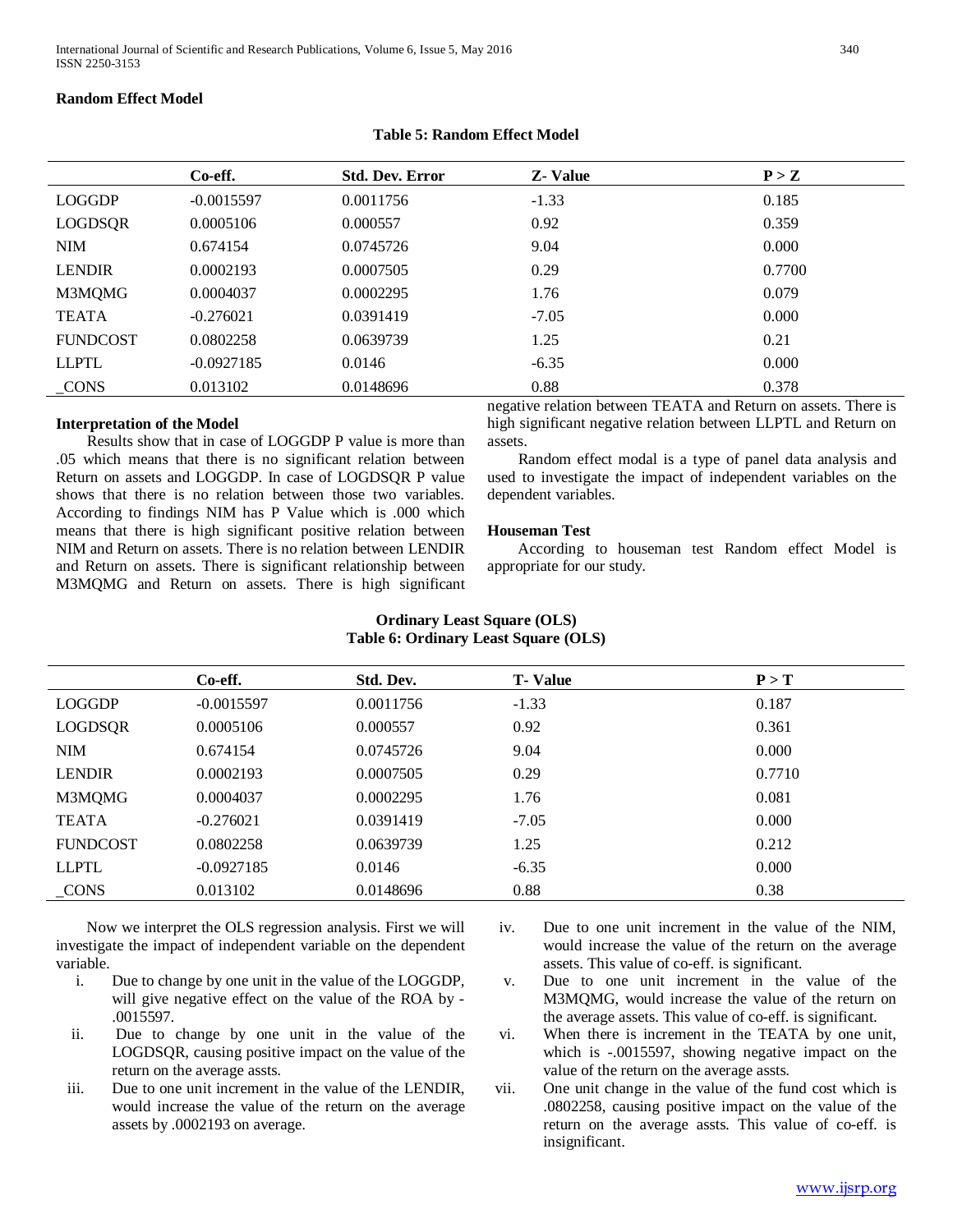## **Random Effect Model**

|  |  | <b>Table 5: Random Effect Model</b> |
|--|--|-------------------------------------|
|--|--|-------------------------------------|

|                 | Co-eff.      | <b>Std. Dev. Error</b> | <b>Z</b> - Value       | P > Z       |
|-----------------|--------------|------------------------|------------------------|-------------|
| <b>LOGGDP</b>   | $-0.0015597$ | 0.0011756              | $-1.33$                | 0.185       |
| LOGDSQR         | 0.0005106    | 0.000557               | 0.92                   | 0.359       |
| <b>NIM</b>      | 0.674154     | 0.0745726              | 9.04                   | 0.000       |
| <b>LENDIR</b>   | 0.0002193    | 0.0007505              | 0.29                   | 0.7700      |
| M3MQMG          | 0.0004037    | 0.0002295              | 1.76                   | 0.079       |
| <b>TEATA</b>    | $-0.276021$  | 0.0391419              | $-7.05$                | 0.000       |
| <b>FUNDCOST</b> | 0.0802258    | 0.0639739              | 1.25                   | 0.21        |
| <b>LLPTL</b>    | $-0.0927185$ | 0.0146                 | $-6.35$                | 0.000       |
| $_{\rm{CONS}}$  | 0.013102     | 0.0148696              | 0.88<br>___ _ _<br>$-$ | 0.378<br>__ |

## **Interpretation of the Model**

 Results show that in case of LOGGDP P value is more than .05 which means that there is no significant relation between Return on assets and LOGGDP. In case of LOGDSQR P value shows that there is no relation between those two variables. According to findings NIM has P Value which is .000 which means that there is high significant positive relation between NIM and Return on assets. There is no relation between LENDIR and Return on assets. There is significant relationship between M3MQMG and Return on assets. There is high significant negative relation between TEATA and Return on assets. There is high significant negative relation between LLPTL and Return on assets.

 Random effect modal is a type of panel data analysis and used to investigate the impact of independent variables on the dependent variables.

#### **Houseman Test**

 According to houseman test Random effect Model is appropriate for our study.

|                 | Co-eff.      | Std. Dev. | <b>T</b> -Value | P > T  |
|-----------------|--------------|-----------|-----------------|--------|
| <b>LOGGDP</b>   | $-0.0015597$ | 0.0011756 | $-1.33$         | 0.187  |
| <b>LOGDSQR</b>  | 0.0005106    | 0.000557  | 0.92            | 0.361  |
| <b>NIM</b>      | 0.674154     | 0.0745726 | 9.04            | 0.000  |
| <b>LENDIR</b>   | 0.0002193    | 0.0007505 | 0.29            | 0.7710 |
| M3MQMG          | 0.0004037    | 0.0002295 | 1.76            | 0.081  |
| <b>TEATA</b>    | $-0.276021$  | 0.0391419 | $-7.05$         | 0.000  |
| <b>FUNDCOST</b> | 0.0802258    | 0.0639739 | 1.25            | 0.212  |
| <b>LLPTL</b>    | $-0.0927185$ | 0.0146    | $-6.35$         | 0.000  |
| _CONS           | 0.013102     | 0.0148696 | 0.88            | 0.38   |

## **Ordinary Least Square (OLS) Table 6: Ordinary Least Square (OLS)**

 Now we interpret the OLS regression analysis. First we will investigate the impact of independent variable on the dependent variable.

- i. Due to change by one unit in the value of the LOGGDP, will give negative effect on the value of the ROA by - .0015597.
- ii. Due to change by one unit in the value of the LOGDSQR, causing positive impact on the value of the return on the average assts.
- iii. Due to one unit increment in the value of the LENDIR, would increase the value of the return on the average assets by .0002193 on average.
- iv. Due to one unit increment in the value of the NIM, would increase the value of the return on the average assets. This value of co-eff. is significant.
- v. Due to one unit increment in the value of the M3MQMG, would increase the value of the return on the average assets. This value of co-eff. is significant.
- vi. When there is increment in the TEATA by one unit, which is -.0015597, showing negative impact on the value of the return on the average assts.
- vii. One unit change in the value of the fund cost which is .0802258, causing positive impact on the value of the return on the average assts. This value of co-eff. is insignificant.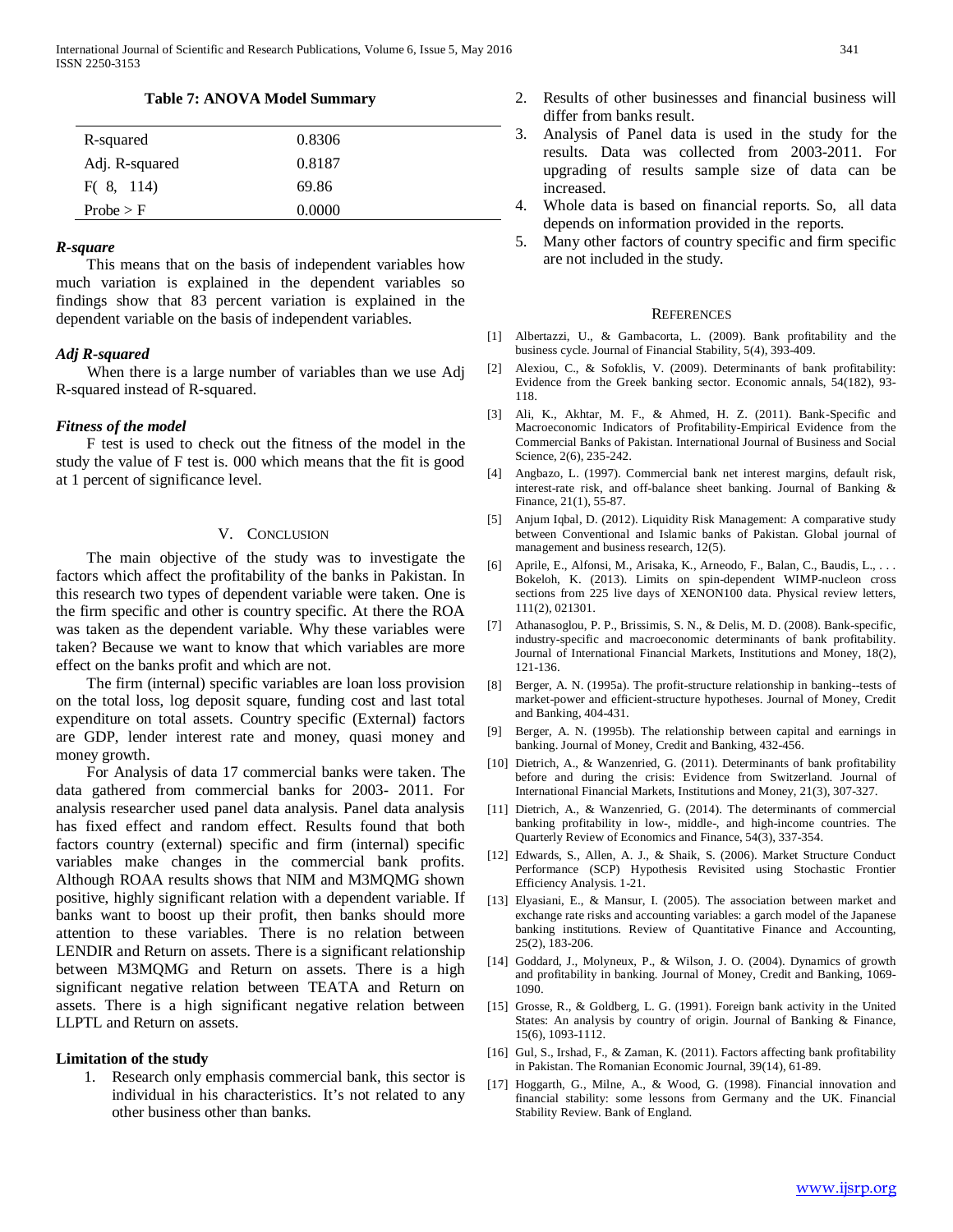#### **Table 7: ANOVA Model Summary**

| R-squared      | 0.8306 |
|----------------|--------|
| Adj. R-squared | 0.8187 |
| F(8, 114)      | 69.86  |
| Probe > F      | 0.0000 |

#### *R-square*

 This means that on the basis of independent variables how much variation is explained in the dependent variables so findings show that 83 percent variation is explained in the dependent variable on the basis of independent variables.

## *Adj R-squared*

 When there is a large number of variables than we use Adj R-squared instead of R-squared.

#### *Fitness of the model*

 F test is used to check out the fitness of the model in the study the value of F test is. 000 which means that the fit is good at 1 percent of significance level*.*

#### V. CONCLUSION

 The main objective of the study was to investigate the factors which affect the profitability of the banks in Pakistan. In this research two types of dependent variable were taken. One is the firm specific and other is country specific. At there the ROA was taken as the dependent variable. Why these variables were taken? Because we want to know that which variables are more effect on the banks profit and which are not.

 The firm (internal) specific variables are loan loss provision on the total loss, log deposit square, funding cost and last total expenditure on total assets. Country specific (External) factors are GDP, lender interest rate and money, quasi money and money growth.

 For Analysis of data 17 commercial banks were taken. The data gathered from commercial banks for 2003- 2011. For analysis researcher used panel data analysis. Panel data analysis has fixed effect and random effect. Results found that both factors country (external) specific and firm (internal) specific variables make changes in the commercial bank profits. Although ROAA results shows that NIM and M3MQMG shown positive, highly significant relation with a dependent variable. If banks want to boost up their profit, then banks should more attention to these variables. There is no relation between LENDIR and Return on assets. There is a significant relationship between M3MQMG and Return on assets. There is a high significant negative relation between TEATA and Return on assets. There is a high significant negative relation between LLPTL and Return on assets.

#### **Limitation of the study**

1. Research only emphasis commercial bank, this sector is individual in his characteristics. It's not related to any other business other than banks.

- 2. Results of other businesses and financial business will differ from banks result.
- 3. Analysis of Panel data is used in the study for the results. Data was collected from 2003-2011. For upgrading of results sample size of data can be increased.
- 4. Whole data is based on financial reports. So, all data depends on information provided in the reports.
- 5. Many other factors of country specific and firm specific are not included in the study.

#### **REFERENCES**

- [1] Albertazzi, U., & Gambacorta, L. (2009). Bank profitability and the business cycle. Journal of Financial Stability, 5(4), 393-409.
- [2] Alexiou, C., & Sofoklis, V. (2009). Determinants of bank profitability: Evidence from the Greek banking sector. Economic annals, 54(182), 93- 118.
- [3] Ali, K., Akhtar, M. F., & Ahmed, H. Z. (2011). Bank-Specific and Macroeconomic Indicators of Profitability-Empirical Evidence from the Commercial Banks of Pakistan. International Journal of Business and Social Science, 2(6), 235-242.
- [4] Angbazo, L. (1997). Commercial bank net interest margins, default risk, interest-rate risk, and off-balance sheet banking. Journal of Banking & Finance, 21(1), 55-87.
- [5] Anjum Iqbal, D. (2012). Liquidity Risk Management: A comparative study between Conventional and Islamic banks of Pakistan. Global journal of management and business research, 12(5).
- [6] Aprile, E., Alfonsi, M., Arisaka, K., Arneodo, F., Balan, C., Baudis, L., . . . Bokeloh, K. (2013). Limits on spin-dependent WIMP-nucleon cross sections from 225 live days of XENON100 data. Physical review letters, 111(2), 021301.
- [7] Athanasoglou, P. P., Brissimis, S. N., & Delis, M. D. (2008). Bank-specific, industry-specific and macroeconomic determinants of bank profitability. Journal of International Financial Markets, Institutions and Money, 18(2), 121-136.
- [8] Berger, A. N. (1995a). The profit-structure relationship in banking--tests of market-power and efficient-structure hypotheses. Journal of Money, Credit and Banking, 404-431.
- [9] Berger, A. N. (1995b). The relationship between capital and earnings in banking. Journal of Money, Credit and Banking, 432-456.
- [10] Dietrich, A., & Wanzenried, G. (2011). Determinants of bank profitability before and during the crisis: Evidence from Switzerland. Journal of International Financial Markets, Institutions and Money, 21(3), 307-327.
- [11] Dietrich, A., & Wanzenried, G. (2014). The determinants of commercial banking profitability in low-, middle-, and high-income countries. The Quarterly Review of Economics and Finance, 54(3), 337-354.
- [12] Edwards, S., Allen, A. J., & Shaik, S. (2006). Market Structure Conduct Performance (SCP) Hypothesis Revisited using Stochastic Frontier Efficiency Analysis. 1-21.
- [13] Elyasiani, E., & Mansur, I. (2005). The association between market and exchange rate risks and accounting variables: a garch model of the Japanese banking institutions. Review of Quantitative Finance and Accounting, 25(2), 183-206.
- [14] Goddard, J., Molyneux, P., & Wilson, J. O. (2004). Dynamics of growth and profitability in banking. Journal of Money, Credit and Banking, 1069- 1090.
- [15] Grosse, R., & Goldberg, L. G. (1991). Foreign bank activity in the United States: An analysis by country of origin. Journal of Banking & Finance, 15(6), 1093-1112.
- [16] Gul, S., Irshad, F., & Zaman, K. (2011). Factors affecting bank profitability in Pakistan. The Romanian Economic Journal, 39(14), 61-89.
- [17] Hoggarth, G., Milne, A., & Wood, G. (1998). Financial innovation and financial stability: some lessons from Germany and the UK. Financial Stability Review. Bank of England.